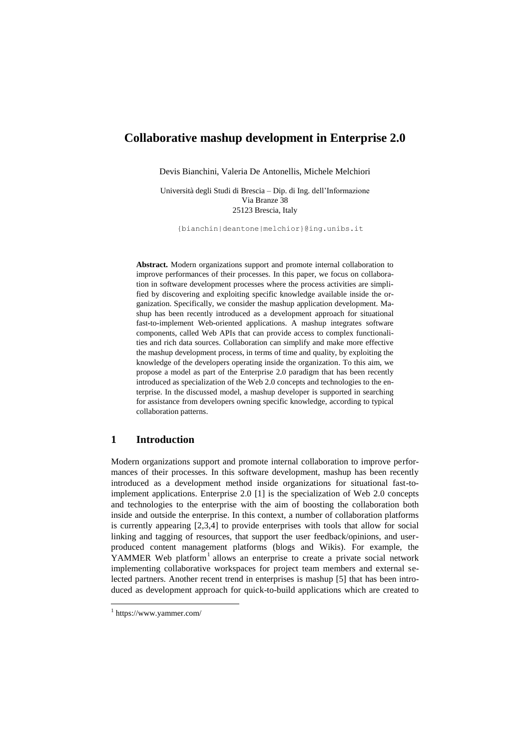# **Collaborative mashup development in Enterprise 2.0**

Devis Bianchini, Valeria De Antonellis, Michele Melchiori

Università degli Studi di Brescia – Dip. di Ing. dell"Informazione Via Branze 38 25123 Brescia, Italy

{bianchin|deantone|melchior}@ing.unibs.it

**Abstract.** Modern organizations support and promote internal collaboration to improve performances of their processes. In this paper, we focus on collaboration in software development processes where the process activities are simplified by discovering and exploiting specific knowledge available inside the organization. Specifically, we consider the mashup application development. Mashup has been recently introduced as a development approach for situational fast-to-implement Web-oriented applications. A mashup integrates software components, called Web APIs that can provide access to complex functionalities and rich data sources. Collaboration can simplify and make more effective the mashup development process, in terms of time and quality, by exploiting the knowledge of the developers operating inside the organization. To this aim, we propose a model as part of the Enterprise 2.0 paradigm that has been recently introduced as specialization of the Web 2.0 concepts and technologies to the enterprise. In the discussed model, a mashup developer is supported in searching for assistance from developers owning specific knowledge, according to typical collaboration patterns.

### **1 Introduction**

Modern organizations support and promote internal collaboration to improve performances of their processes. In this software development, mashup has been recently introduced as a development method inside organizations for situational fast-toimplement applications. Enterprise 2.0 [1] is the specialization of Web 2.0 concepts and technologies to the enterprise with the aim of boosting the collaboration both inside and outside the enterprise. In this context, a number of collaboration platforms is currently appearing [2,3,4] to provide enterprises with tools that allow for social linking and tagging of resources, that support the user feedback/opinions, and userproduced content management platforms (blogs and Wikis). For example, the YAMMER Web platform<sup>1</sup> allows an enterprise to create a private social network implementing collaborative workspaces for project team members and external selected partners. Another recent trend in enterprises is mashup [5] that has been introduced as development approach for quick-to-build applications which are created to

-

<sup>1</sup> https://www.yammer.com/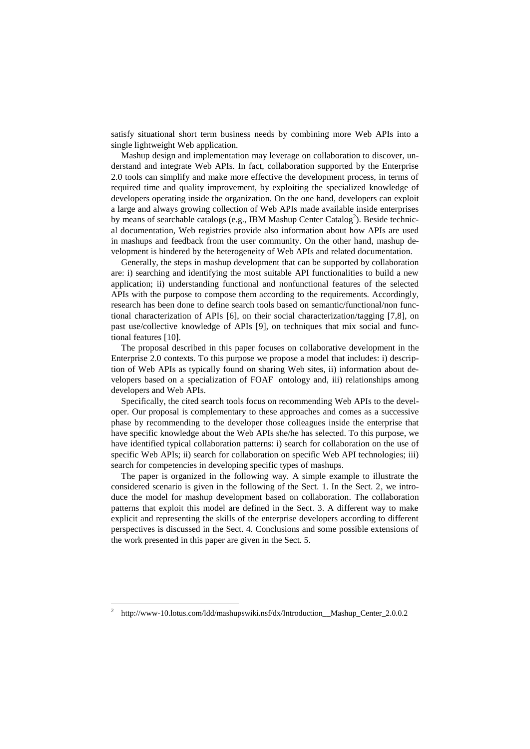satisfy situational short term business needs by combining more Web APIs into a single lightweight Web application.

Mashup design and implementation may leverage on collaboration to discover, understand and integrate Web APIs. In fact, collaboration supported by the Enterprise 2.0 tools can simplify and make more effective the development process, in terms of required time and quality improvement, by exploiting the specialized knowledge of developers operating inside the organization. On the one hand, developers can exploit a large and always growing collection of Web APIs made available inside enterprises by means of searchable catalogs (e.g., IBM Mashup Center Catalog<sup>2</sup>). Beside technical documentation, Web registries provide also information about how APIs are used in mashups and feedback from the user community. On the other hand, mashup development is hindered by the heterogeneity of Web APIs and related documentation.

Generally, the steps in mashup development that can be supported by collaboration are: i) searching and identifying the most suitable API functionalities to build a new application; ii) understanding functional and nonfunctional features of the selected APIs with the purpose to compose them according to the requirements. Accordingly, research has been done to define search tools based on semantic/functional/non functional characterization of APIs [6], on their social characterization/tagging [7,8], on past use/collective knowledge of APIs [9], on techniques that mix social and functional features [10].

The proposal described in this paper focuses on collaborative development in the Enterprise 2.0 contexts. To this purpose we propose a model that includes: i) description of Web APIs as typically found on sharing Web sites, ii) information about developers based on a specialization of FOAF ontology and, iii) relationships among developers and Web APIs.

Specifically, the cited search tools focus on recommending Web APIs to the developer. Our proposal is complementary to these approaches and comes as a successive phase by recommending to the developer those colleagues inside the enterprise that have specific knowledge about the Web APIs she/he has selected. To this purpose, we have identified typical collaboration patterns: i) search for collaboration on the use of specific Web APIs; ii) search for collaboration on specific Web API technologies; iii) search for competencies in developing specific types of mashups.

The paper is organized in the following way. A simple example to illustrate the considered scenario is given in the following of the Sect. 1. In the Sect. 2, we introduce the model for mashup development based on collaboration. The collaboration patterns that exploit this model are defined in the Sect. 3. A different way to make explicit and representing the skills of the enterprise developers according to different perspectives is discussed in the Sect. 4. Conclusions and some possible extensions of the work presented in this paper are given in the Sect. 5.

-

<sup>2</sup> http://www-10.lotus.com/ldd/mashupswiki.nsf/dx/Introduction\_\_Mashup\_Center\_2.0.0.2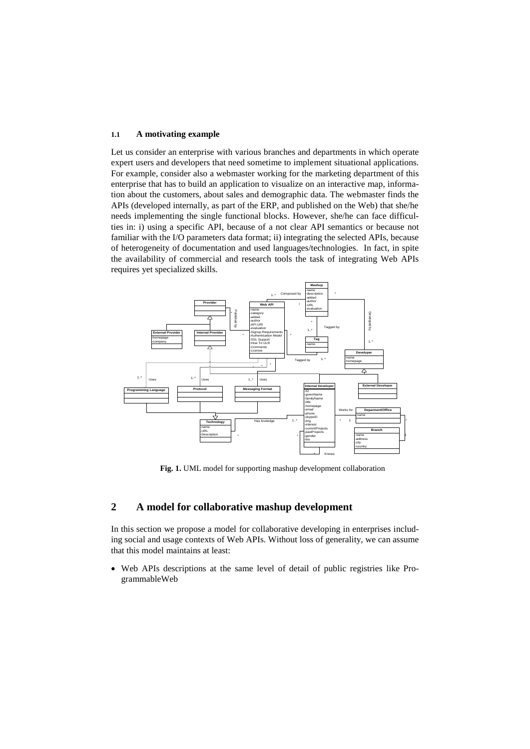#### **1.1 A motivating example**

Let us consider an enterprise with various branches and departments in which operate expert users and developers that need sometime to implement situational applications. For example, consider also a webmaster working for the marketing department of this enterprise that has to build an application to visualize on an interactive map, information about the customers, about sales and demographic data. The webmaster finds the APIs (developed internally, as part of the ERP, and published on the Web) that she/he needs implementing the single functional blocks. However, she/he can face difficulties in: i) using a specific API, because of a not clear API semantics or because not familiar with the I/O parameters data format; ii) integrating the selected APIs, because of heterogeneity of documentation and used languages/technologies. In fact, in spite the availability of commercial and research tools the task of integrating Web APIs requires yet specialized skills.



**Fig. 1.** UML model for supporting mashup development collaboration

# **2 A model for collaborative mashup development**

In this section we propose a model for collaborative developing in enterprises including social and usage contexts of Web APIs. Without loss of generality, we can assume that this model maintains at least:

 Web APIs descriptions at the same level of detail of public registries like ProgrammableWeb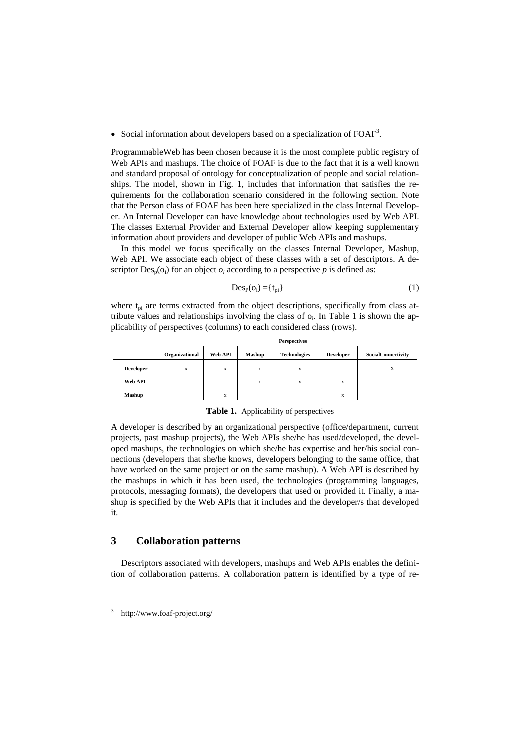• Social information about developers based on a specialization of  $FOAF<sup>3</sup>$ .

ProgrammableWeb has been chosen because it is the most complete public registry of Web APIs and mashups. The choice of FOAF is due to the fact that it is a well known and standard proposal of ontology for conceptualization of people and social relationships. The model, shown in Fig. 1, includes that information that satisfies the requirements for the collaboration scenario considered in the following section. Note that the Person class of FOAF has been here specialized in the class Internal Developer. An Internal Developer can have knowledge about technologies used by Web API. The classes External Provider and External Developer allow keeping supplementary information about providers and developer of public Web APIs and mashups.

In this model we focus specifically on the classes Internal Developer, Mashup, Web API. We associate each object of these classes with a set of descriptors. A descriptor  $Des_n(o_i)$  for an object  $o_i$  according to a perspective p is defined as:

$$
Des_P(o_i) = \{t_{pi}\}\tag{1}
$$

where  $t_{pi}$  are terms extracted from the object descriptions, specifically from class attribute values and relationships involving the class of  $o_i$ . In Table 1 is shown the applicability of perspectives (columns) to each considered class (rows).

|                  | <b>Perspectives</b> |         |               |                     |                  |                    |  |
|------------------|---------------------|---------|---------------|---------------------|------------------|--------------------|--|
|                  | Organizational      | Web API | <b>Mashup</b> | <b>Technologies</b> | <b>Developer</b> | SocialConnectivity |  |
| <b>Developer</b> | X                   | x       | X             | X                   |                  | Δ                  |  |
| Web API          |                     |         | X             | X                   | $\bf{x}$         |                    |  |
| <b>Mashup</b>    |                     | x       |               |                     | X                |                    |  |

**Table 1.** Applicability of perspectives

A developer is described by an organizational perspective (office/department, current projects, past mashup projects), the Web APIs she/he has used/developed, the developed mashups, the technologies on which she/he has expertise and her/his social connections (developers that she/he knows, developers belonging to the same office, that have worked on the same project or on the same mashup). A Web API is described by the mashups in which it has been used, the technologies (programming languages, protocols, messaging formats), the developers that used or provided it. Finally, a mashup is specified by the Web APIs that it includes and the developer/s that developed it.

# **3 Collaboration patterns**

Descriptors associated with developers, mashups and Web APIs enables the definition of collaboration patterns. A collaboration pattern is identified by a type of re-

-

<sup>3</sup> http://www.foaf-project.org/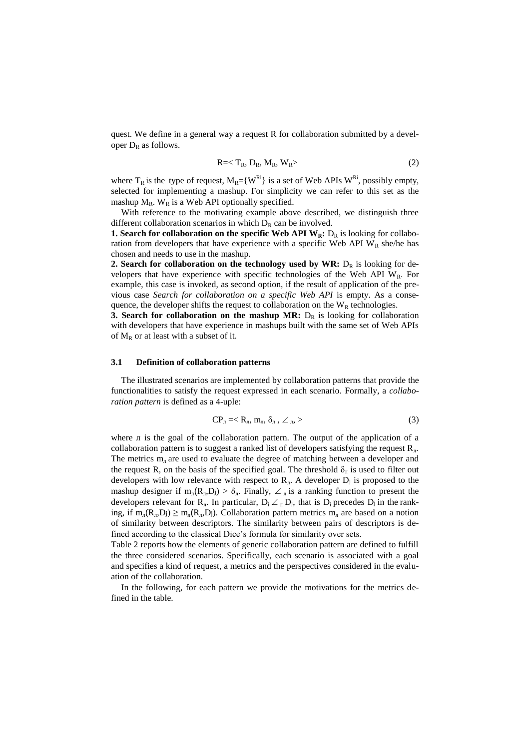quest. We define in a general way a request R for collaboration submitted by a developer  $D_R$  as follows.

$$
R =  $T_R$ ,  $D_R$ ,  $M_R$ ,  $W_R$  > (2)
$$

where  $T_R$  is the type of request,  $M_R = \{W^{Ri}\}\$ is a set of Web APIs  $W^{Ri}$ , possibly empty, selected for implementing a mashup. For simplicity we can refer to this set as the mashup  $M_R$ . W<sub>R</sub> is a Web API optionally specified.

With reference to the motivating example above described, we distinguish three different collaboration scenarios in which  $D_R$  can be involved.

**1. Search for collaboration on the specific Web API**  $W_R$ **:**  $D_R$  **is looking for collabo**ration from developers that have experience with a specific Web API  $W_R$  she/he has chosen and needs to use in the mashup.

**2. Search for collaboration on the technology used by WR:**  $D_R$  is looking for developers that have experience with specific technologies of the Web API  $W_R$ . For example, this case is invoked, as second option, if the result of application of the previous case *Search for collaboration on a specific Web API* is empty. As a consequence, the developer shifts the request to collaboration on the  $W_R$  technologies.

**3. Search for collaboration on the mashup MR:**  $D_R$  is looking for collaboration with developers that have experience in mashups built with the same set of Web APIs of  $M_R$  or at least with a subset of it.

#### **3.1 Definition of collaboration patterns**

The illustrated scenarios are implemented by collaboration patterns that provide the functionalities to satisfy the request expressed in each scenario. Formally, a *collaboration pattern* is defined as a 4-uple:

$$
CP_{\pi} =
$$
 (3)

where  $\pi$  is the goal of the collaboration pattern. The output of the application of a collaboration pattern is to suggest a ranked list of developers satisfying the request  $\mathbb{R}_{\mathbb{R}}$ . The metrics  $m<sub>n</sub>$  are used to evaluate the degree of matching between a developer and the request R, on the basis of the specified goal. The threshold  $\delta_{\eta}$  is used to filter out developers with low relevance with respect to  $R<sub>n</sub>$ . A developer  $D<sub>j</sub>$  is proposed to the mashup designer if  $m_n(R_n, D_j) > \delta_n$ . Finally,  $\angle_n$  is a ranking function to present the developers relevant for  $R_{\mu}$ . In particular,  $D_i \angle_{\mu} D_j$ , that is  $D_i$  precedes  $D_j$  in the ranking, if  $m_n(R_n, D_i) \ge m_n(R_n, D_i)$ . Collaboration pattern metrics  $m_n$  are based on a notion of similarity between descriptors. The similarity between pairs of descriptors is defined according to the classical Dice"s formula for similarity over sets.

Table 2 reports how the elements of generic collaboration pattern are defined to fulfill the three considered scenarios. Specifically, each scenario is associated with a goal and specifies a kind of request, a metrics and the perspectives considered in the evaluation of the collaboration.

In the following, for each pattern we provide the motivations for the metrics defined in the table.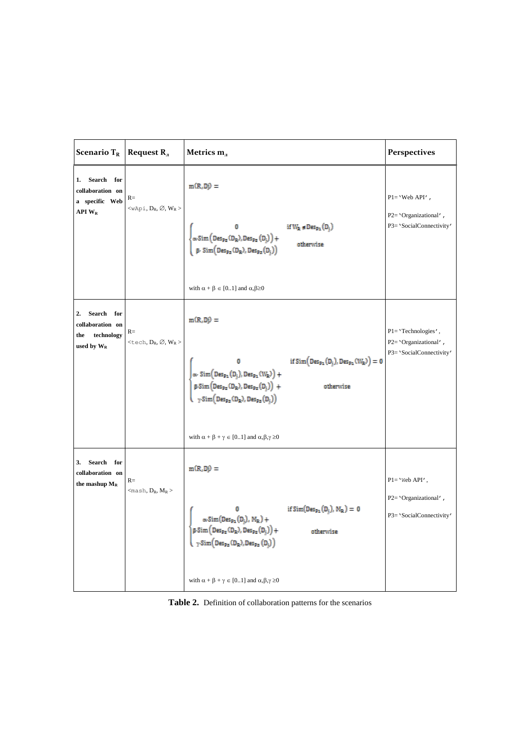| Scenario $T_R$                                                                         | Request $R_{n}$                                        | Metrics $m_{\text{J}}$                                                                                                                                                                                                                                                                                                                                                                                                                                                                                                                                                                                                                 | Perspectives                                                                  |
|----------------------------------------------------------------------------------------|--------------------------------------------------------|----------------------------------------------------------------------------------------------------------------------------------------------------------------------------------------------------------------------------------------------------------------------------------------------------------------------------------------------------------------------------------------------------------------------------------------------------------------------------------------------------------------------------------------------------------------------------------------------------------------------------------------|-------------------------------------------------------------------------------|
| 1.<br>Search for<br>collaboration on<br>a specific Web<br>API W <sub>R</sub>           | $R=$<br>$<$ wApi, D <sub>R</sub> , Ø, W <sub>R</sub> > | $m(R, D\hat{v}) =$<br>$\begin{cases} 0 & \text{if } W_{R} \in \text{Des}_{p_2}(D_j) \\ \alpha\text{-}\text{Sim}\Big(\text{Des}_{p_2}(D_R), \text{Des}_{p_2}(D_j)\Big) + \\ \beta\text{-}\text{Sim}\Big(\text{Des}_{p_2}(D_R), \text{Des}_{p_2}(D_j)\Big) & \text{otherwise} \end{cases}$<br>with $\alpha + \beta \in [01]$ and $\alpha, \beta \ge 0$                                                                                                                                                                                                                                                                                   | $P1 = 'Web API'$ ,<br>P2='Organizational',<br>P3= 'SocialConnectivity'        |
| Search<br>2.<br>for<br>collaboration on<br>technology<br>the<br>used by W <sub>R</sub> | $R=$<br>$\lt$ tech, $D_R$ , $\varnothing$ , $W_R$      | $m(R, D\hat{p}) =$<br>if $Sim(Des_{p_1}(D_j), Des_{p_1}(W_R)) = 0$<br>$\left\{\begin{aligned}&0\\ &\alpha\cdot\, \text{Sim}\Big(\text{Des}_{{\texttt P1}}({\texttt D}_j),\, \text{Des}_{{\texttt P1}}({\texttt W}_{\texttt R})\Big) \, + \\ &\beta\cdot\, \text{Sim}\Big(\text{Des}_{{\texttt P2}}({\texttt D}_{\texttt R}),\, \text{Des}_{{\texttt P2}}({\texttt D}_j)\Big) \, + \\ &\gamma\cdot\, \text{Sim}\Big(\text{Des}_{{\texttt P2}}({\texttt D}_{\texttt R}),\, \text{Des}_{{\texttt P2}}({\texttt D}_j)\Big) \end{aligned}\right.$<br>otherwise<br>with $\alpha + \beta + \gamma \in [01]$ and $\alpha, \beta, \gamma \ge 0$ | P1='Technologies',<br>P2= 'Organizational' $\,$ ,<br>P3= 'SocialConnectivity' |
| 3.<br>Search<br>for<br>collaboration on<br>the mashup $M_R$                            | $R=$<br>$<$ mash, $D_R$ , $M_R$                        | $m(R, D\hat{v}) =$<br>$\left\{ \begin{array}{ll} 0 & \text{if $\text{Sim}(\text{Des}_{{\mathfrak P}_1}(D_j),\,M_R)=0$} \\ \alpha\text{-}\text{Sim}(\text{Des}_{{\mathfrak P}_2}(D_j),\,M_R) + \\ \beta\text{-}\text{Sim}\big(\text{Des}_{{\mathfrak P}_2}(D_R),\text{Des}_{{\mathfrak P}_2}(D_j)\big) + \\ \gamma\text{-}\text{Sim}\big(\text{Des}_{{\mathfrak P}_2}(D_R),\text{Des}_{{\mathfrak P}_2}(D_j)\big) \end{array} \right.$<br>with $\alpha + \beta + \gamma \in [01]$ and $\alpha, \beta, \gamma \ge 0$                                                                                                                     | $P1 = 'Web API',$<br>P2='Organizational',<br>P3= 'SocialConnectivity'         |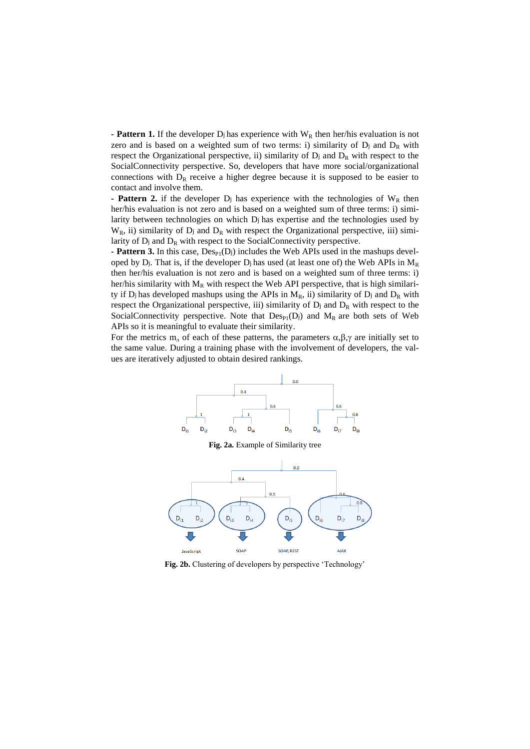**- Pattern 1.** If the developer  $D_j$  has experience with  $W_R$  then her/his evaluation is not zero and is based on a weighted sum of two terms: i) similarity of  $D_j$  and  $D_k$  with respect the Organizational perspective, ii) similarity of  $D_j$  and  $D_k$  with respect to the SocialConnectivity perspective. So, developers that have more social/organizational connections with  $D_R$  receive a higher degree because it is supposed to be easier to contact and involve them.

**- Pattern 2.** if the developer  $D_j$  has experience with the technologies of  $W_R$  then her/his evaluation is not zero and is based on a weighted sum of three terms: i) similarity between technologies on which D<sup>j</sup> has expertise and the technologies used by  $W_R$ , ii) similarity of  $D_j$  and  $D_R$  with respect the Organizational perspective, iii) similarity of  $D_j$  and  $D_R$  with respect to the SocialConnectivity perspective.

**- Pattern 3.** In this case,  $Des_{P1}(D_i)$  includes the Web APIs used in the mashups developed by  $D_j$ . That is, if the developer  $D_j$  has used (at least one of) the Web APIs in  $M_R$ then her/his evaluation is not zero and is based on a weighted sum of three terms: i) her/his similarity with  $M_R$  with respect the Web API perspective, that is high similarity if  $D_j$  has developed mashups using the APIs in  $M_R$ , ii) similarity of  $D_j$  and  $D_R$  with respect the Organizational perspective, iii) similarity of  $D_j$  and  $D_R$  with respect to the SocialConnectivity perspective. Note that  $Des_{P1}(D_j)$  and  $M_R$  are both sets of Web APIs so it is meaningful to evaluate their similarity.

For the metrics  $m_{\pi}$  of each of these patterns, the parameters  $\alpha, \beta, \gamma$  are initially set to the same value. During a training phase with the involvement of developers, the values are iteratively adjusted to obtain desired rankings.



**Fig. 2b.** Clustering of developers by perspective "Technology"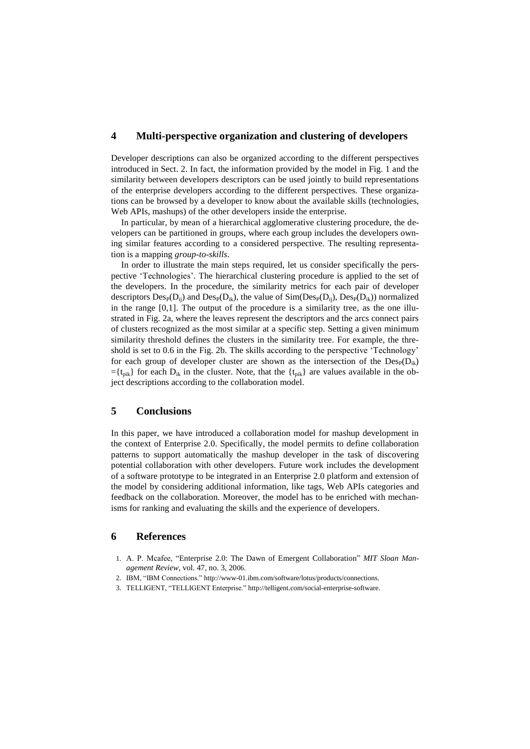### **4 Multi-perspective organization and clustering of developers**

Developer descriptions can also be organized according to the different perspectives introduced in Sect. 2. In fact, the information provided by the model in Fig. 1 and the similarity between developers descriptors can be used jointly to build representations of the enterprise developers according to the different perspectives. These organizations can be browsed by a developer to know about the available skills (technologies, Web APIs, mashups) of the other developers inside the enterprise.

In particular, by mean of a hierarchical agglomerative clustering procedure, the developers can be partitioned in groups, where each group includes the developers owning similar features according to a considered perspective. The resulting representation is a mapping *group-to-skills*.

In order to illustrate the main steps required, let us consider specifically the perspective 'Technologies'. The hierarchical clustering procedure is applied to the set of the developers. In the procedure, the similarity metrics for each pair of developer descriptors  $Des_{P}(D_{ii})$  and  $Des_{P}(D_{ik})$ , the value of  $Sim(Des_{P}(D_{ii}), Des_{P}(D_{ik}))$  normalized in the range [0,1]. The output of the procedure is a similarity tree, as the one illustrated in Fig. 2a, where the leaves represent the descriptors and the arcs connect pairs of clusters recognized as the most similar at a specific step. Setting a given minimum similarity threshold defines the clusters in the similarity tree. For example, the threshold is set to 0.6 in the Fig. 2b. The skills according to the perspective "Technology" for each group of developer cluster are shown as the intersection of the  $Des_{P}(D_{ik})$  $=\{t_{pik}\}\$  for each  $D_{ik}$  in the cluster. Note, that the  $\{t_{pik}\}\$  are values available in the object descriptions according to the collaboration model.

### **5 Conclusions**

In this paper, we have introduced a collaboration model for mashup development in the context of Enterprise 2.0. Specifically, the model permits to define collaboration patterns to support automatically the mashup developer in the task of discovering potential collaboration with other developers. Future work includes the development of a software prototype to be integrated in an Enterprise 2.0 platform and extension of the model by considering additional information, like tags, Web APIs categories and feedback on the collaboration. Moreover, the model has to be enriched with mechanisms for ranking and evaluating the skills and the experience of developers.

#### **6 References**

- 1. A. P. Mcafee, "Enterprise 2.0: The Dawn of Emergent Collaboration" *MIT Sloan Management Review*, vol. 47, no. 3, 2006.
- 2. IBM, "IBM Connections." http://www-01.ibm.com/software/lotus/products/connections.
- 3. TELLIGENT, "TELLIGENT Enterprise." http://telligent.com/social-enterprise-software.